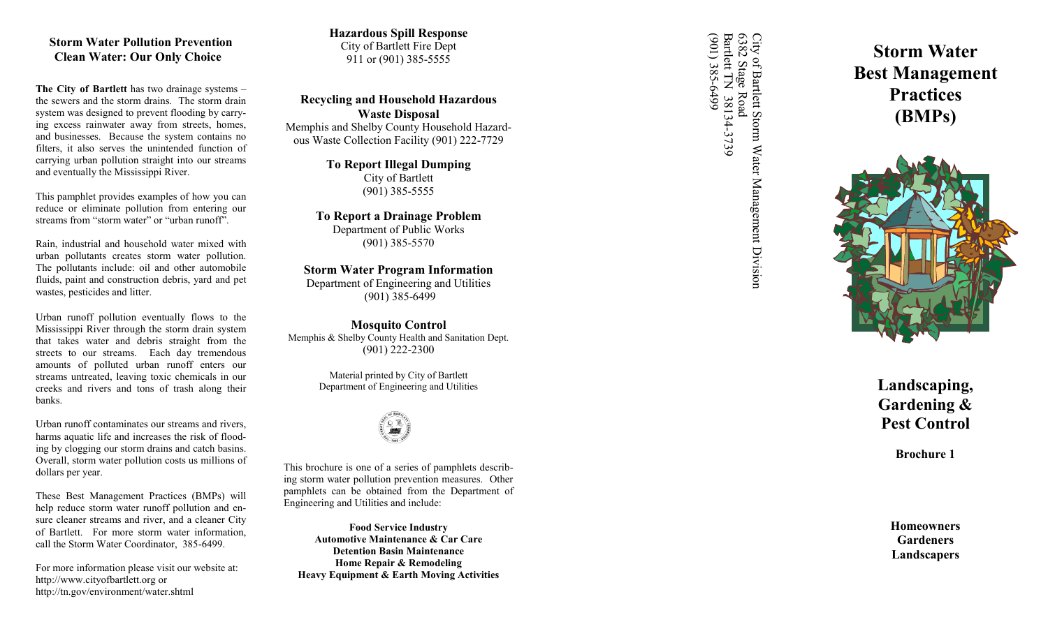## **Storm Water Pollution Prevention Clean Water: Our Only Choice**

**The City of Bartlett** has two drainage systems – the sewers and the storm drains. The storm drain system was designed to prevent flooding by carrying excess rainwater away from streets, homes, and businesses. Because the system contains no filters, it also serves the unintended function of carrying urban pollution straight into our streams and eventually the Mississippi River.

This pamphlet provides examples of how you can reduce or eliminate pollution from entering our streams from "storm water" or "urban runoff".

Rain, industrial and household water mixed with urban pollutants creates storm water pollution. The pollutants include: oil and other automobile fluids, paint and construction debris, yard and pet wastes, pesticides and litter.

Urban runoff pollution eventually flows to the Mississippi River through the storm drain system that takes water and debris straight from the streets to our streams. Each day tremendous amounts of polluted urban runoff enters our streams untreated, leaving toxic chemicals in our creeks and rivers and tons of trash along their banks.

Urban runoff contaminates our streams and rivers, harms aquatic life and increases the risk of flooding by clogging our storm drains and catch basins. Overall, storm water pollution costs us millions of dollars per year.

These Best Management Practices (BMPs) will help reduce storm water runoff pollution and ensure cleaner streams and river, and a cleaner City of Bartlett. For more storm water information, call the Storm Water Coordinator, 385 -6499.

For more information please visit our website at: http://www.cityofbartlett.org or http://tn.gov/environment/water.shtml

**Hazardous Spill Response** City of Bartlett Fire Dept 911 or (901) 385-5555

**Recycling and Household Hazardous Waste Disposal** Memphis and Shelby County Household Hazardous Waste Collection Facility (901) 222-7729

> **To Report Illegal Dumping** City of Bartlett (901) 385 -5555

**To Report a Drainage Problem** Department of Public Works (901) 385 -5570

**Storm Water Program Information** Department of Engineering and Utilities

(901) 385 -6499

**Mosquito Control** Memphis & Shelby County Health and Sanitation Dept. (901) 222 -2300

> Material printed by City of Bartlett Department of Engineering and Utilities



This brochure is one of a series of pamphlets describing storm water pollution prevention measures. Other pamphlets can be obtained from the Department of Engineering and Utilities and include:

**Food Service Industry Automotive Maintenance & Car Care Detention Basin Maintenance Home Repair & Remodeling Heavy Equipment & Earth Moving Activities** City of Bartlett Storm Water Management Division<br>6382 Stage Road<br>Bartlett TN 38134-3739<br>(901) 385-6499 (901) 385-6499 Bartlett TN 38134 City of Bartlett Storm Water Management Division<br>6382 Stage Road<br>Bartlett TN 38134-3739 6382 Stage Road

**Storm Water Best Management Practices (BMPs)**



**Landscaping, Gardening & Pest Control**

**Brochure 1**

**Homeowners Gardeners Landscapers**